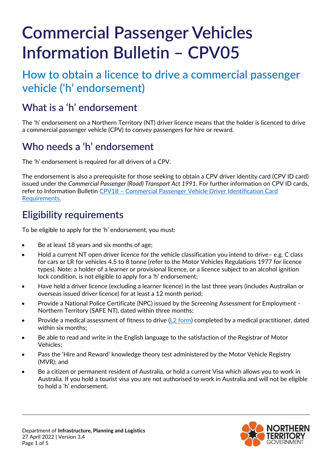# **Commercial Passenger Vehicles Information Bulletin – CPV05**

# **How to obtain a licence to drive a commercial passenger vehicle ('h' endorsement)**

## **What is a 'h' endorsement**

The 'h' endorsement on a Northern Territory (NT) driver licence means that the holder is licenced to drive a commercial passenger vehicle (CPV) to convey passengers for hire or reward.

## **Who needs a 'h' endorsement**

The 'h' endorsement is required for all drivers of a CPV.

The endorsement is also a prerequisite for those seeking to obtain a CPV driver identity card (CPV ID card) issued under the *Commercial Passenger (Road) Transport Act 1991*. For further information on CPV ID cards, refer to Information Bulletin CPV18 – [Commercial Passenger Vehicle Driver Identification Card](https://nt.gov.au/driving/industry/cpv-information-bulletins-forms)  [Requirements.](https://nt.gov.au/driving/industry/cpv-information-bulletins-forms)

## **Eligibility requirements**

To be eligible to apply for the 'h' endorsement, you must:

- Be at least 18 years and six months of age;
- Hold a current NT open driver licence for the vehicle classification you intend to drive– e.g. C class for cars or LR for vehicles 4.5 to 8 tonne (refer to the [Motor Vehicles Regulations](http://www.transport.nt.gov.au/taxi/legislation) 1977 for licence types). Note: a holder of a learner or provisional licence, or a licence subject to an alcohol ignition lock condition, is not eligible to apply for a 'h' endorsement;
- Have held a driver licence (excluding a learner licence) in the last three years (includes Australian or overseas issued driver licence) for at least a 12 month period;
- Provide a National Police Certificate (NPC) issued by the Screening Assessment for Employment Northern Territory (SAFE NT), dated within three months;
- Provide a medical assessment of fitness to drive ( $L2$  form) completed by a medical practitioner, dated within six months;
- Be able to read and write in the English language to the satisfaction of the Registrar of Motor Vehicles;
- Pass the 'Hire and Reward' knowledge theory test administered by the Motor Vehicle Registry (MVR); and
- Be a citizen or permanent resident of Australia, or hold a current Visa which allows you to work in Australia. If you hold a tourist visa you are not authorised to work in Australia and will not be eligible to hold a 'h' endorsement.

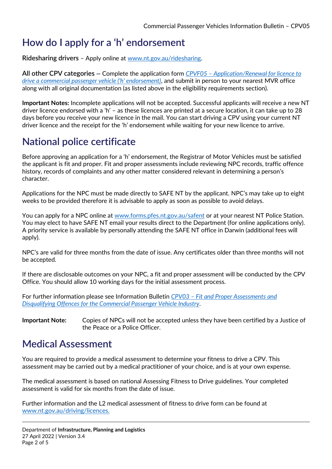## **How do I apply for a 'h' endorsement**

**Ridesharing drivers** – Apply online at [www.nt.gov.au/ridesharing.](http://www.nt.gov.au/ridesharing)

**All other CPV categories** – Complete the application form *CPVF05 – [Application/Renewal for licence to](https://nt.gov.au/driving/industry/cpv-information-bulletins-forms)  [drive a commercial passenger vehicle \('h' endorsement\)](https://nt.gov.au/driving/industry/cpv-information-bulletins-forms)*, and submit in person to your nearest MVR office along with all original documentation (as listed above in the eligibility requirements section).

**Important Notes:** Incomplete applications will not be accepted. Successful applicants will receive a new NT driver licence endorsed with a 'h' – as these licences are printed at a secure location, it can take up to 28 days before you receive your new licence in the mail. You can start driving a CPV using your current NT driver licence and the receipt for the 'h' endorsement while waiting for your new licence to arrive.

## **National police certificate**

Before approving an application for a 'h' endorsement, the Registrar of Motor Vehicles must be satisfied the applicant is fit and proper. Fit and proper assessments include reviewing NPC records, traffic offence history, records of complaints and any other matter considered relevant in determining a person's character.

Applications for the NPC must be made directly to SAFE NT by the applicant. NPC's may take up to eight weeks to be provided therefore it is advisable to apply as soon as possible to avoid delays.

You can apply for a NPC online at [www.forms.pfes.nt.gov.au/safent](https://forms.pfes.nt.gov.au/safent/) or at your nearest NT Police Station. You may elect to have SAFE NT email your results direct to the Department (for online applications only). A priority service is available by personally attending the SAFE NT office in Darwin (additional fees will apply).

NPC's are valid for three months from the date of issue. Any certificates older than three months will not be accepted.

If there are disclosable outcomes on your NPC, a fit and proper assessment will be conducted by the CPV Office. You should allow 10 working days for the initial assessment process.

For further information please see Information Bulletin *CPV03 – [Fit and Proper Assessments and](https://nt.gov.au/driving/industry/cpv-information-bulletins-forms)  [Disqualifying Offences for the Commercial Passenger Vehicle Industry](https://nt.gov.au/driving/industry/cpv-information-bulletins-forms)*.

**Important Note:** Copies of NPCs will not be accepted unless they have been certified by a Justice of the Peace or a Police Officer.

#### **Medical Assessment**

You are required to provide a medical assessment to determine your fitness to drive a CPV. This assessment may be carried out by a medical practitioner of your choice, and is at your own expense.

The medical assessment is based on national Assessing Fitness to Drive guidelines. Your completed assessment is valid for six months from the date of issue.

Further information and the L2 medical assessment of fitness to drive form can be found at [www.nt.gov.au/driving/licences.](http://www.nt.gov.au/driving/licences)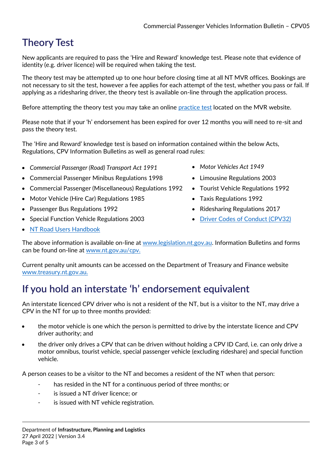## **Theory Test**

New applicants are required to pass the 'Hire and Reward' knowledge test. Please note that evidence of identity (e.g. driver licence) will be required when taking the test.

The theory test may be attempted up to one hour before closing time at all NT MVR offices. Bookings are not necessary to sit the test, however a fee applies for each attempt of the test, whether you pass or fail. If applying as a ridesharing driver, the theory test is available on-line through the application process.

Before attempting the theory test you may take an online [practice test](https://mvronlinetest.nt.gov.au/perception5/open.php) located on the MVR website.

Please note that if your 'h' endorsement has been expired for over 12 months you will need to re-sit and pass the theory test.

The 'Hire and Reward' knowledge test is based on information contained within the below Acts, Regulations, CPV Information Bulletins as well as general road rules:

- Commercial Passenger (Road) Transport Act 1991 Motor Vehicles Act 1949
- Commercial Passenger Minibus Regulations 1998 Limousine Regulations 2003
- Commercial Passenger (Miscellaneous) Regulations 1992 Tourist Vehicle Regulations 1992
- Motor Vehicle (Hire Car) Regulations 1985
- Passenger Bus Regulations 1992
- Special Function Vehicle Regulations 2003 [Driver Codes of Conduct \(CPV32\)](https://nt.gov.au/driving/industry/cpv-information-bulletins-forms)
- [NT Road Users Handbook](https://nt.gov.au/driving/licences/nt-road-users-handbook)
- 
- 
- 
- Taxis Regulations 1992
- Ridesharing Regulations 2017
- 

The above information is available on-line at [www.legislation.nt.gov.au.](http://www.legislation.nt.gov.au/) Information Bulletins and forms can be found on-line at [www.nt.gov.au/cpv.](https://nt.gov.au/driving/industry/cpv-information-bulletins-forms)

Current penalty unit amounts can be accessed on the Department of Treasury and Finance website [www.treasury.nt.gov.au.](http://www.treasury.nt.gov.au/)

#### **If you hold an interstate 'h' endorsement equivalent**

An interstate licenced CPV driver who is not a resident of the NT, but is a visitor to the NT, may drive a CPV in the NT for up to three months provided:

- the motor vehicle is one which the person is permitted to drive by the interstate licence and CPV driver authority; and
- the driver only drives a CPV that can be driven without holding a CPV ID Card, i.e. can only drive a motor omnibus, tourist vehicle, special passenger vehicle (excluding rideshare) and special function vehicle.

A person ceases to be a visitor to the NT and becomes a resident of the NT when that person:

- has resided in the NT for a continuous period of three months; or
- is issued a NT driver licence; or
- is issued with NT vehicle registration.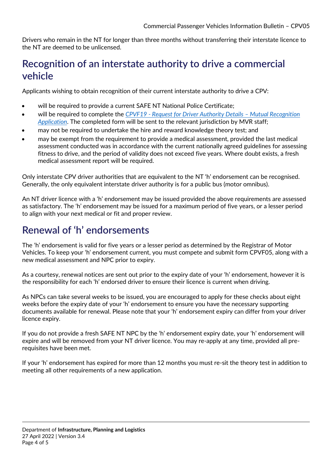Drivers who remain in the NT for longer than three months without transferring their interstate licence to the NT are deemed to be unlicensed.

#### **Recognition of an interstate authority to drive a commercial vehicle**

Applicants wishing to obtain recognition of their current interstate authority to drive a CPV:

- will be required to provide a current SAFE NT National Police Certificate;
- will be required to complete the *CPVF19 - [Request for Driver Authority Details](https://nt.gov.au/driving/industry/driving-a-commercial-passenger-vehicle) – Mutual Recognition [Application](https://nt.gov.au/driving/industry/driving-a-commercial-passenger-vehicle)*. The completed form will be sent to the relevant jurisdiction by MVR staff;
- may not be required to undertake the hire and reward knowledge theory test; and
- may be exempt from the requirement to provide a medical assessment, provided the last medical assessment conducted was in accordance with the current nationally agreed guidelines for assessing fitness to drive, and the period of validity does not exceed five years. Where doubt exists, a fresh medical assessment report will be required.

Only interstate CPV driver authorities that are equivalent to the NT 'h' endorsement can be recognised. Generally, the only equivalent interstate driver authority is for a public bus (motor omnibus).

An NT driver licence with a 'h' endorsement may be issued provided the above requirements are assessed as satisfactory. The 'h' endorsement may be issued for a maximum period of five years, or a lesser period to align with your next medical or fit and proper review.

#### **Renewal of 'h' endorsements**

The 'h' endorsement is valid for five years or a lesser period as determined by the Registrar of Motor Vehicles. To keep your 'h' endorsement current, you must compete and submit form CPVF05, along with a new medical assessment and NPC prior to expiry.

As a courtesy, renewal notices are sent out prior to the expiry date of your 'h' endorsement, however it is the responsibility for each 'h' endorsed driver to ensure their licence is current when driving.

As NPCs can take several weeks to be issued, you are encouraged to apply for these checks about eight weeks before the expiry date of your 'h' endorsement to ensure you have the necessary supporting documents available for renewal. Please note that your 'h' endorsement expiry can differ from your driver licence expiry.

If you do not provide a fresh SAFE NT NPC by the 'h' endorsement expiry date, your 'h' endorsement will expire and will be removed from your NT driver licence. You may re-apply at any time, provided all prerequisites have been met.

If your 'h' endorsement has expired for more than 12 months you must re-sit the theory test in addition to meeting all other requirements of a new application.